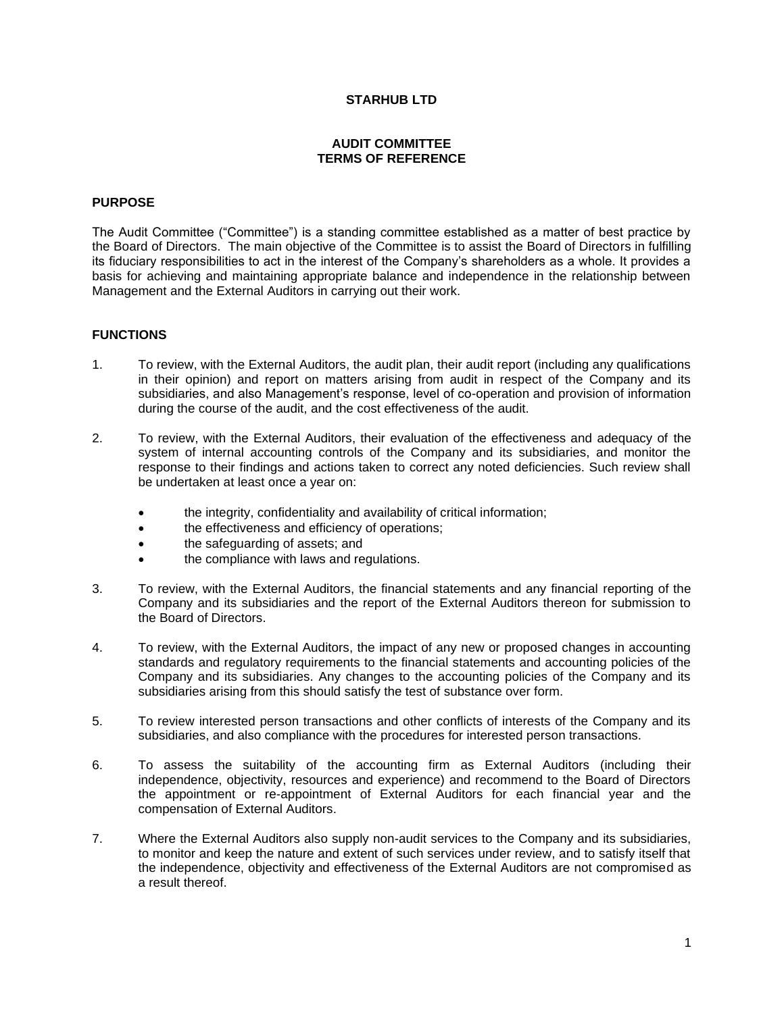## **STARHUB LTD**

# **AUDIT COMMITTEE TERMS OF REFERENCE**

### **PURPOSE**

The Audit Committee ("Committee") is a standing committee established as a matter of best practice by the Board of Directors. The main objective of the Committee is to assist the Board of Directors in fulfilling its fiduciary responsibilities to act in the interest of the Company's shareholders as a whole. It provides a basis for achieving and maintaining appropriate balance and independence in the relationship between Management and the External Auditors in carrying out their work.

#### **FUNCTIONS**

- 1. To review, with the External Auditors, the audit plan, their audit report (including any qualifications in their opinion) and report on matters arising from audit in respect of the Company and its subsidiaries, and also Management's response, level of co-operation and provision of information during the course of the audit, and the cost effectiveness of the audit.
- 2. To review, with the External Auditors, their evaluation of the effectiveness and adequacy of the system of internal accounting controls of the Company and its subsidiaries, and monitor the response to their findings and actions taken to correct any noted deficiencies. Such review shall be undertaken at least once a year on:
	- the integrity, confidentiality and availability of critical information;
	- the effectiveness and efficiency of operations;
	- the safeguarding of assets; and
	- the compliance with laws and regulations.
- 3. To review, with the External Auditors, the financial statements and any financial reporting of the Company and its subsidiaries and the report of the External Auditors thereon for submission to the Board of Directors.
- 4. To review, with the External Auditors, the impact of any new or proposed changes in accounting standards and regulatory requirements to the financial statements and accounting policies of the Company and its subsidiaries. Any changes to the accounting policies of the Company and its subsidiaries arising from this should satisfy the test of substance over form.
- 5. To review interested person transactions and other conflicts of interests of the Company and its subsidiaries, and also compliance with the procedures for interested person transactions.
- 6. To assess the suitability of the accounting firm as External Auditors (including their independence, objectivity, resources and experience) and recommend to the Board of Directors the appointment or re-appointment of External Auditors for each financial year and the compensation of External Auditors.
- 7. Where the External Auditors also supply non-audit services to the Company and its subsidiaries, to monitor and keep the nature and extent of such services under review, and to satisfy itself that the independence, objectivity and effectiveness of the External Auditors are not compromised as a result thereof.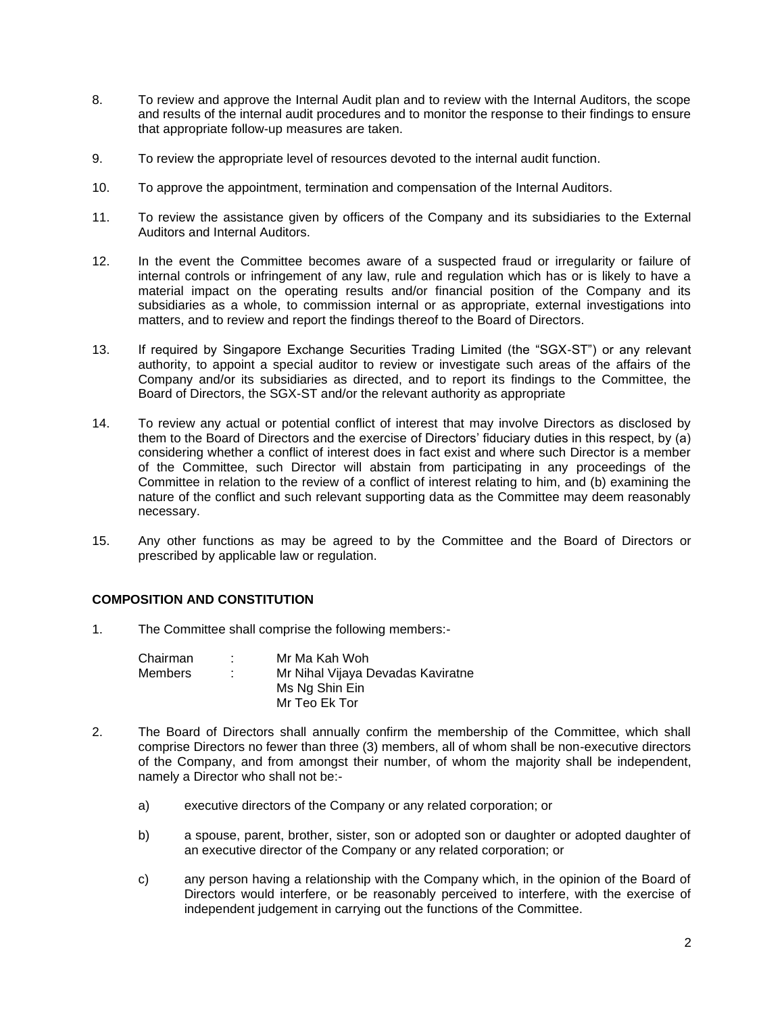- 8. To review and approve the Internal Audit plan and to review with the Internal Auditors, the scope and results of the internal audit procedures and to monitor the response to their findings to ensure that appropriate follow-up measures are taken.
- 9. To review the appropriate level of resources devoted to the internal audit function.
- 10. To approve the appointment, termination and compensation of the Internal Auditors.
- 11. To review the assistance given by officers of the Company and its subsidiaries to the External Auditors and Internal Auditors.
- 12. In the event the Committee becomes aware of a suspected fraud or irregularity or failure of internal controls or infringement of any law, rule and regulation which has or is likely to have a material impact on the operating results and/or financial position of the Company and its subsidiaries as a whole, to commission internal or as appropriate, external investigations into matters, and to review and report the findings thereof to the Board of Directors.
- 13. If required by Singapore Exchange Securities Trading Limited (the "SGX-ST") or any relevant authority, to appoint a special auditor to review or investigate such areas of the affairs of the Company and/or its subsidiaries as directed, and to report its findings to the Committee, the Board of Directors, the SGX-ST and/or the relevant authority as appropriate
- 14. To review any actual or potential conflict of interest that may involve Directors as disclosed by them to the Board of Directors and the exercise of Directors' fiduciary duties in this respect, by (a) considering whether a conflict of interest does in fact exist and where such Director is a member of the Committee, such Director will abstain from participating in any proceedings of the Committee in relation to the review of a conflict of interest relating to him, and (b) examining the nature of the conflict and such relevant supporting data as the Committee may deem reasonably necessary.
- 15. Any other functions as may be agreed to by the Committee and the Board of Directors or prescribed by applicable law or regulation.

## **COMPOSITION AND CONSTITUTION**

1. The Committee shall comprise the following members:-

| Chairman | Mr Ma Kah Woh                     |
|----------|-----------------------------------|
| Members  | Mr Nihal Vijaya Devadas Kaviratne |
|          | Ms Ng Shin Ein                    |
|          | Mr Teo Ek Tor                     |

- 2. The Board of Directors shall annually confirm the membership of the Committee, which shall comprise Directors no fewer than three (3) members, all of whom shall be non-executive directors of the Company, and from amongst their number, of whom the majority shall be independent, namely a Director who shall not be:
	- a) executive directors of the Company or any related corporation; or
	- b) a spouse, parent, brother, sister, son or adopted son or daughter or adopted daughter of an executive director of the Company or any related corporation; or
	- c) any person having a relationship with the Company which, in the opinion of the Board of Directors would interfere, or be reasonably perceived to interfere, with the exercise of independent judgement in carrying out the functions of the Committee.